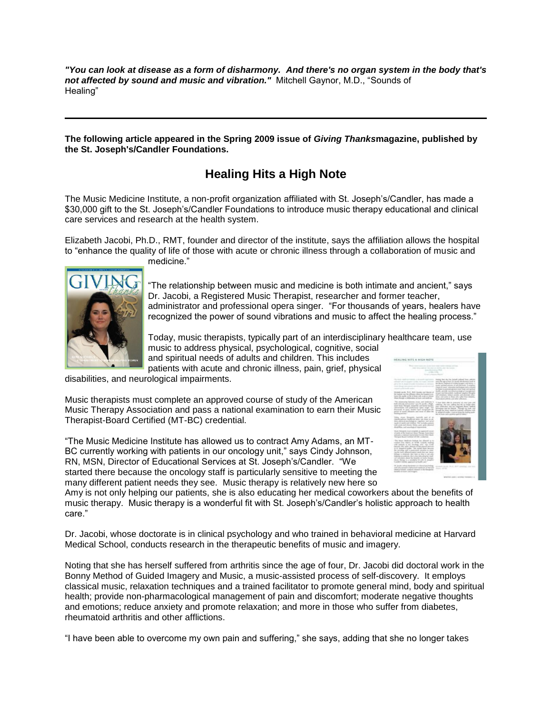*"You can look at disease as a form of disharmony. And there's no organ system in the body that's not affected by sound and music and vibration."* Mitchell Gaynor, M.D., "Sounds of Healing"

**The following article appeared in the Spring 2009 issue of** *Giving Thanks***magazine, published by the St. Joseph's/Candler Foundations.**

## **Healing Hits a High Note**

The Music Medicine Institute, a non-profit organization affiliated with St. Joseph's/Candler, has made a \$30,000 gift to the St. Joseph's/Candler Foundations to introduce music therapy educational and clinical care services and research at the health system.

Elizabeth Jacobi, Ph.D., RMT, founder and director of the institute, says the affiliation allows the hospital to "enhance the quality of life of those with acute or chronic illness through a collaboration of music and medicine."



"The relationship between music and medicine is both intimate and ancient," says Dr. Jacobi, a Registered Music Therapist, researcher and former teacher, administrator and professional opera singer. "For thousands of years, healers have recognized the power of sound vibrations and music to affect the healing process."

Today, music therapists, typically part of an interdisciplinary healthcare team, use music to address physical, psychological, cognitive, social and spiritual needs of adults and children. This includes

patients with acute and chronic illness, pain, grief, physical

disabilities, and neurological impairments.

Music therapists must complete an approved course of study of the American Music Therapy Association and pass a national examination to earn their Music Therapist-Board Certified (MT-BC) credential.

"The Music Medicine Institute has allowed us to contract Amy Adams, an MT-BC currently working with patients in our oncology unit," says Cindy Johnson, RN, MSN, Director of Educational Services at St. Joseph's/Candler. "We started there because the oncology staff is particularly sensitive to meeting the many different patient needs they see. Music therapy is relatively new here so



Amy is not only helping our patients, she is also educating her medical coworkers about the benefits of music therapy. Music therapy is a wonderful fit with St. Joseph's/Candler's holistic approach to health care."

Dr. Jacobi, whose doctorate is in clinical psychology and who trained in behavioral medicine at Harvard Medical School, conducts research in the therapeutic benefits of music and imagery.

Noting that she has herself suffered from arthritis since the age of four, Dr. Jacobi did doctoral work in the Bonny Method of Guided Imagery and Music, a music-assisted process of self-discovery. It employs classical music, relaxation techniques and a trained facilitator to promote general mind, body and spiritual health; provide non-pharmacological management of pain and discomfort; moderate negative thoughts and emotions; reduce anxiety and promote relaxation; and more in those who suffer from diabetes, rheumatoid arthritis and other afflictions.

"I have been able to overcome my own pain and suffering," she says, adding that she no longer takes